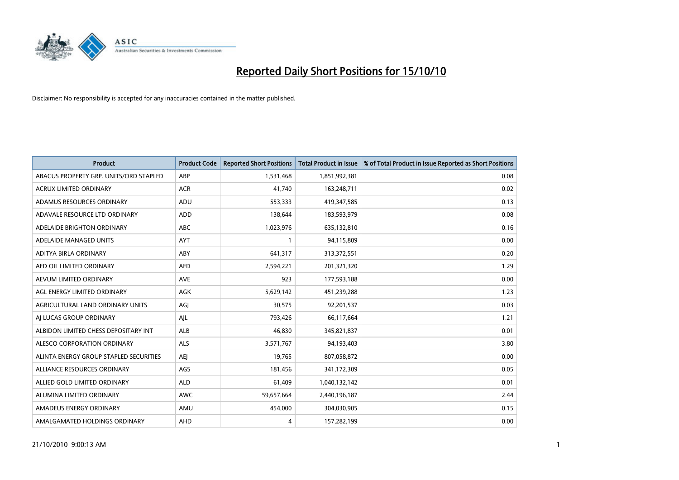

| <b>Product</b>                         | <b>Product Code</b> | <b>Reported Short Positions</b> | Total Product in Issue | % of Total Product in Issue Reported as Short Positions |
|----------------------------------------|---------------------|---------------------------------|------------------------|---------------------------------------------------------|
| ABACUS PROPERTY GRP. UNITS/ORD STAPLED | ABP                 | 1,531,468                       | 1,851,992,381          | 0.08                                                    |
| <b>ACRUX LIMITED ORDINARY</b>          | <b>ACR</b>          | 41.740                          | 163,248,711            | 0.02                                                    |
| ADAMUS RESOURCES ORDINARY              | ADU                 | 553,333                         | 419,347,585            | 0.13                                                    |
| ADAVALE RESOURCE LTD ORDINARY          | ADD                 | 138,644                         | 183,593,979            | 0.08                                                    |
| ADELAIDE BRIGHTON ORDINARY             | <b>ABC</b>          | 1,023,976                       | 635,132,810            | 0.16                                                    |
| ADELAIDE MANAGED UNITS                 | AYT                 |                                 | 94,115,809             | 0.00                                                    |
| ADITYA BIRLA ORDINARY                  | ABY                 | 641.317                         | 313,372,551            | 0.20                                                    |
| AED OIL LIMITED ORDINARY               | <b>AED</b>          | 2,594,221                       | 201,321,320            | 1.29                                                    |
| AEVUM LIMITED ORDINARY                 | <b>AVE</b>          | 923                             | 177,593,188            | 0.00                                                    |
| AGL ENERGY LIMITED ORDINARY            | <b>AGK</b>          | 5,629,142                       | 451,239,288            | 1.23                                                    |
| AGRICULTURAL LAND ORDINARY UNITS       | AGJ                 | 30,575                          | 92,201,537             | 0.03                                                    |
| AI LUCAS GROUP ORDINARY                | AJL                 | 793,426                         | 66,117,664             | 1.21                                                    |
| ALBIDON LIMITED CHESS DEPOSITARY INT   | ALB                 | 46.830                          | 345,821,837            | 0.01                                                    |
| ALESCO CORPORATION ORDINARY            | <b>ALS</b>          | 3,571,767                       | 94,193,403             | 3.80                                                    |
| ALINTA ENERGY GROUP STAPLED SECURITIES | <b>AEI</b>          | 19,765                          | 807,058,872            | 0.00                                                    |
| ALLIANCE RESOURCES ORDINARY            | AGS                 | 181,456                         | 341,172,309            | 0.05                                                    |
| ALLIED GOLD LIMITED ORDINARY           | <b>ALD</b>          | 61,409                          | 1,040,132,142          | 0.01                                                    |
| ALUMINA LIMITED ORDINARY               | <b>AWC</b>          | 59,657,664                      | 2,440,196,187          | 2.44                                                    |
| AMADEUS ENERGY ORDINARY                | AMU                 | 454,000                         | 304,030,905            | 0.15                                                    |
| AMALGAMATED HOLDINGS ORDINARY          | AHD                 | 4                               | 157,282,199            | 0.00                                                    |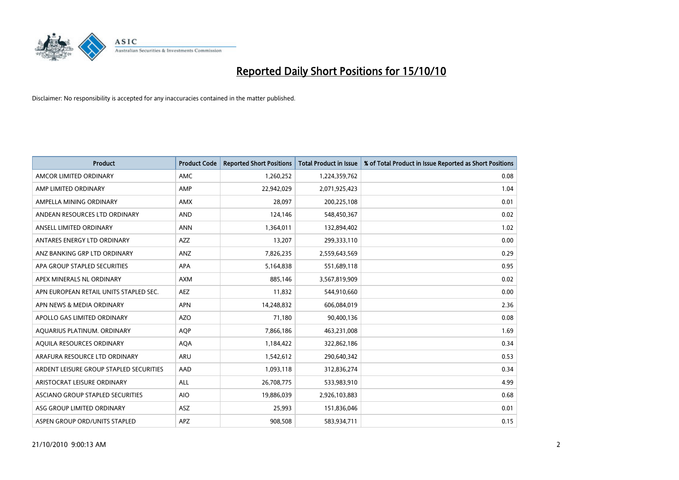

| <b>Product</b>                          | <b>Product Code</b> | <b>Reported Short Positions</b> | <b>Total Product in Issue</b> | % of Total Product in Issue Reported as Short Positions |
|-----------------------------------------|---------------------|---------------------------------|-------------------------------|---------------------------------------------------------|
| AMCOR LIMITED ORDINARY                  | <b>AMC</b>          | 1,260,252                       | 1,224,359,762                 | 0.08                                                    |
| AMP LIMITED ORDINARY                    | AMP                 | 22,942,029                      | 2,071,925,423                 | 1.04                                                    |
| AMPELLA MINING ORDINARY                 | <b>AMX</b>          | 28.097                          | 200,225,108                   | 0.01                                                    |
| ANDEAN RESOURCES LTD ORDINARY           | <b>AND</b>          | 124,146                         | 548,450,367                   | 0.02                                                    |
| ANSELL LIMITED ORDINARY                 | <b>ANN</b>          | 1,364,011                       | 132,894,402                   | 1.02                                                    |
| ANTARES ENERGY LTD ORDINARY             | <b>AZZ</b>          | 13,207                          | 299,333,110                   | 0.00                                                    |
| ANZ BANKING GRP LTD ORDINARY            | <b>ANZ</b>          | 7,826,235                       | 2,559,643,569                 | 0.29                                                    |
| APA GROUP STAPLED SECURITIES            | <b>APA</b>          | 5,164,838                       | 551,689,118                   | 0.95                                                    |
| APEX MINERALS NL ORDINARY               | <b>AXM</b>          | 885,146                         | 3,567,819,909                 | 0.02                                                    |
| APN EUROPEAN RETAIL UNITS STAPLED SEC.  | <b>AEZ</b>          | 11,832                          | 544,910,660                   | 0.00                                                    |
| APN NEWS & MEDIA ORDINARY               | <b>APN</b>          | 14,248,832                      | 606,084,019                   | 2.36                                                    |
| APOLLO GAS LIMITED ORDINARY             | <b>AZO</b>          | 71,180                          | 90,400,136                    | 0.08                                                    |
| AQUARIUS PLATINUM. ORDINARY             | <b>AQP</b>          | 7,866,186                       | 463,231,008                   | 1.69                                                    |
| AQUILA RESOURCES ORDINARY               | <b>AQA</b>          | 1,184,422                       | 322,862,186                   | 0.34                                                    |
| ARAFURA RESOURCE LTD ORDINARY           | <b>ARU</b>          | 1,542,612                       | 290,640,342                   | 0.53                                                    |
| ARDENT LEISURE GROUP STAPLED SECURITIES | AAD                 | 1,093,118                       | 312,836,274                   | 0.34                                                    |
| ARISTOCRAT LEISURE ORDINARY             | <b>ALL</b>          | 26,708,775                      | 533,983,910                   | 4.99                                                    |
| ASCIANO GROUP STAPLED SECURITIES        | <b>AIO</b>          | 19,886,039                      | 2,926,103,883                 | 0.68                                                    |
| ASG GROUP LIMITED ORDINARY              | <b>ASZ</b>          | 25,993                          | 151,836,046                   | 0.01                                                    |
| ASPEN GROUP ORD/UNITS STAPLED           | <b>APZ</b>          | 908.508                         | 583,934,711                   | 0.15                                                    |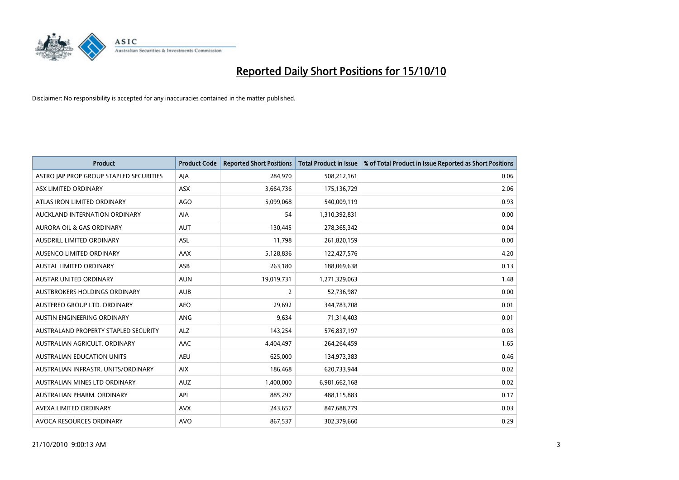

| <b>Product</b>                          | <b>Product Code</b> | <b>Reported Short Positions</b> | <b>Total Product in Issue</b> | % of Total Product in Issue Reported as Short Positions |
|-----------------------------------------|---------------------|---------------------------------|-------------------------------|---------------------------------------------------------|
| ASTRO JAP PROP GROUP STAPLED SECURITIES | AJA                 | 284,970                         | 508,212,161                   | 0.06                                                    |
| ASX LIMITED ORDINARY                    | <b>ASX</b>          | 3,664,736                       | 175,136,729                   | 2.06                                                    |
| ATLAS IRON LIMITED ORDINARY             | <b>AGO</b>          | 5,099,068                       | 540,009,119                   | 0.93                                                    |
| AUCKLAND INTERNATION ORDINARY           | AIA                 | 54                              | 1,310,392,831                 | 0.00                                                    |
| <b>AURORA OIL &amp; GAS ORDINARY</b>    | <b>AUT</b>          | 130,445                         | 278,365,342                   | 0.04                                                    |
| AUSDRILL LIMITED ORDINARY               | <b>ASL</b>          | 11,798                          | 261,820,159                   | 0.00                                                    |
| AUSENCO LIMITED ORDINARY                | <b>AAX</b>          | 5,128,836                       | 122,427,576                   | 4.20                                                    |
| AUSTAL LIMITED ORDINARY                 | ASB                 | 263,180                         | 188,069,638                   | 0.13                                                    |
| <b>AUSTAR UNITED ORDINARY</b>           | <b>AUN</b>          | 19,019,731                      | 1,271,329,063                 | 1.48                                                    |
| <b>AUSTBROKERS HOLDINGS ORDINARY</b>    | <b>AUB</b>          | $\overline{2}$                  | 52,736,987                    | 0.00                                                    |
| AUSTEREO GROUP LTD. ORDINARY            | <b>AEO</b>          | 29,692                          | 344,783,708                   | 0.01                                                    |
| AUSTIN ENGINEERING ORDINARY             | ANG                 | 9,634                           | 71,314,403                    | 0.01                                                    |
| AUSTRALAND PROPERTY STAPLED SECURITY    | <b>ALZ</b>          | 143,254                         | 576,837,197                   | 0.03                                                    |
| AUSTRALIAN AGRICULT. ORDINARY           | AAC                 | 4,404,497                       | 264,264,459                   | 1.65                                                    |
| <b>AUSTRALIAN EDUCATION UNITS</b>       | <b>AEU</b>          | 625,000                         | 134,973,383                   | 0.46                                                    |
| AUSTRALIAN INFRASTR, UNITS/ORDINARY     | <b>AIX</b>          | 186,468                         | 620,733,944                   | 0.02                                                    |
| AUSTRALIAN MINES LTD ORDINARY           | <b>AUZ</b>          | 1,400,000                       | 6,981,662,168                 | 0.02                                                    |
| AUSTRALIAN PHARM. ORDINARY              | API                 | 885,297                         | 488,115,883                   | 0.17                                                    |
| AVEXA LIMITED ORDINARY                  | <b>AVX</b>          | 243,657                         | 847,688,779                   | 0.03                                                    |
| AVOCA RESOURCES ORDINARY                | <b>AVO</b>          | 867,537                         | 302,379,660                   | 0.29                                                    |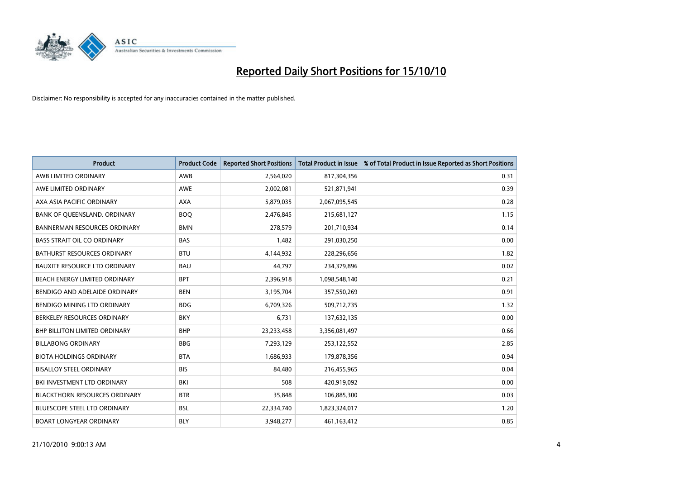

| <b>Product</b>                       | <b>Product Code</b> | <b>Reported Short Positions</b> | Total Product in Issue | % of Total Product in Issue Reported as Short Positions |
|--------------------------------------|---------------------|---------------------------------|------------------------|---------------------------------------------------------|
| AWB LIMITED ORDINARY                 | AWB                 | 2,564,020                       | 817,304,356            | 0.31                                                    |
| AWE LIMITED ORDINARY                 | AWE                 | 2,002,081                       | 521,871,941            | 0.39                                                    |
| AXA ASIA PACIFIC ORDINARY            | <b>AXA</b>          | 5,879,035                       | 2,067,095,545          | 0.28                                                    |
| BANK OF QUEENSLAND. ORDINARY         | <b>BOO</b>          | 2,476,845                       | 215,681,127            | 1.15                                                    |
| <b>BANNERMAN RESOURCES ORDINARY</b>  | <b>BMN</b>          | 278,579                         | 201,710,934            | 0.14                                                    |
| <b>BASS STRAIT OIL CO ORDINARY</b>   | <b>BAS</b>          | 1,482                           | 291,030,250            | 0.00                                                    |
| BATHURST RESOURCES ORDINARY          | <b>BTU</b>          | 4,144,932                       | 228,296,656            | 1.82                                                    |
| BAUXITE RESOURCE LTD ORDINARY        | <b>BAU</b>          | 44,797                          | 234,379,896            | 0.02                                                    |
| BEACH ENERGY LIMITED ORDINARY        | <b>BPT</b>          | 2,396,918                       | 1,098,548,140          | 0.21                                                    |
| BENDIGO AND ADELAIDE ORDINARY        | <b>BEN</b>          | 3,195,704                       | 357,550,269            | 0.91                                                    |
| BENDIGO MINING LTD ORDINARY          | <b>BDG</b>          | 6,709,326                       | 509,712,735            | 1.32                                                    |
| BERKELEY RESOURCES ORDINARY          | <b>BKY</b>          | 6,731                           | 137,632,135            | 0.00                                                    |
| <b>BHP BILLITON LIMITED ORDINARY</b> | <b>BHP</b>          | 23,233,458                      | 3,356,081,497          | 0.66                                                    |
| <b>BILLABONG ORDINARY</b>            | <b>BBG</b>          | 7,293,129                       | 253,122,552            | 2.85                                                    |
| <b>BIOTA HOLDINGS ORDINARY</b>       | <b>BTA</b>          | 1,686,933                       | 179,878,356            | 0.94                                                    |
| <b>BISALLOY STEEL ORDINARY</b>       | <b>BIS</b>          | 84,480                          | 216,455,965            | 0.04                                                    |
| BKI INVESTMENT LTD ORDINARY          | BKI                 | 508                             | 420,919,092            | 0.00                                                    |
| <b>BLACKTHORN RESOURCES ORDINARY</b> | <b>BTR</b>          | 35,848                          | 106,885,300            | 0.03                                                    |
| BLUESCOPE STEEL LTD ORDINARY         | <b>BSL</b>          | 22,334,740                      | 1,823,324,017          | 1.20                                                    |
| <b>BOART LONGYEAR ORDINARY</b>       | <b>BLY</b>          | 3.948.277                       | 461,163,412            | 0.85                                                    |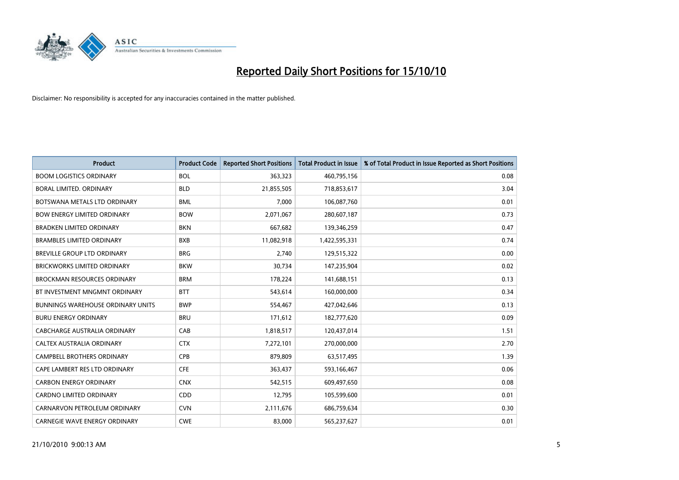

| <b>Product</b>                           | <b>Product Code</b> | <b>Reported Short Positions</b> | <b>Total Product in Issue</b> | % of Total Product in Issue Reported as Short Positions |
|------------------------------------------|---------------------|---------------------------------|-------------------------------|---------------------------------------------------------|
| <b>BOOM LOGISTICS ORDINARY</b>           | <b>BOL</b>          | 363.323                         | 460,795,156                   | 0.08                                                    |
| BORAL LIMITED. ORDINARY                  | <b>BLD</b>          | 21,855,505                      | 718,853,617                   | 3.04                                                    |
| BOTSWANA METALS LTD ORDINARY             | <b>BML</b>          | 7,000                           | 106,087,760                   | 0.01                                                    |
| <b>BOW ENERGY LIMITED ORDINARY</b>       | <b>BOW</b>          | 2,071,067                       | 280,607,187                   | 0.73                                                    |
| <b>BRADKEN LIMITED ORDINARY</b>          | <b>BKN</b>          | 667,682                         | 139,346,259                   | 0.47                                                    |
| <b>BRAMBLES LIMITED ORDINARY</b>         | <b>BXB</b>          | 11,082,918                      | 1,422,595,331                 | 0.74                                                    |
| <b>BREVILLE GROUP LTD ORDINARY</b>       | <b>BRG</b>          | 2,740                           | 129,515,322                   | 0.00                                                    |
| <b>BRICKWORKS LIMITED ORDINARY</b>       | <b>BKW</b>          | 30.734                          | 147,235,904                   | 0.02                                                    |
| <b>BROCKMAN RESOURCES ORDINARY</b>       | <b>BRM</b>          | 178,224                         | 141,688,151                   | 0.13                                                    |
| BT INVESTMENT MNGMNT ORDINARY            | <b>BTT</b>          | 543,614                         | 160,000,000                   | 0.34                                                    |
| <b>BUNNINGS WAREHOUSE ORDINARY UNITS</b> | <b>BWP</b>          | 554,467                         | 427,042,646                   | 0.13                                                    |
| <b>BURU ENERGY ORDINARY</b>              | <b>BRU</b>          | 171,612                         | 182,777,620                   | 0.09                                                    |
| CABCHARGE AUSTRALIA ORDINARY             | CAB                 | 1,818,517                       | 120,437,014                   | 1.51                                                    |
| CALTEX AUSTRALIA ORDINARY                | <b>CTX</b>          | 7,272,101                       | 270,000,000                   | 2.70                                                    |
| <b>CAMPBELL BROTHERS ORDINARY</b>        | <b>CPB</b>          | 879,809                         | 63,517,495                    | 1.39                                                    |
| CAPE LAMBERT RES LTD ORDINARY            | <b>CFE</b>          | 363,437                         | 593,166,467                   | 0.06                                                    |
| <b>CARBON ENERGY ORDINARY</b>            | <b>CNX</b>          | 542,515                         | 609,497,650                   | 0.08                                                    |
| <b>CARDNO LIMITED ORDINARY</b>           | CDD                 | 12,795                          | 105,599,600                   | 0.01                                                    |
| CARNARVON PETROLEUM ORDINARY             | <b>CVN</b>          | 2,111,676                       | 686,759,634                   | 0.30                                                    |
| CARNEGIE WAVE ENERGY ORDINARY            | <b>CWE</b>          | 83,000                          | 565,237,627                   | 0.01                                                    |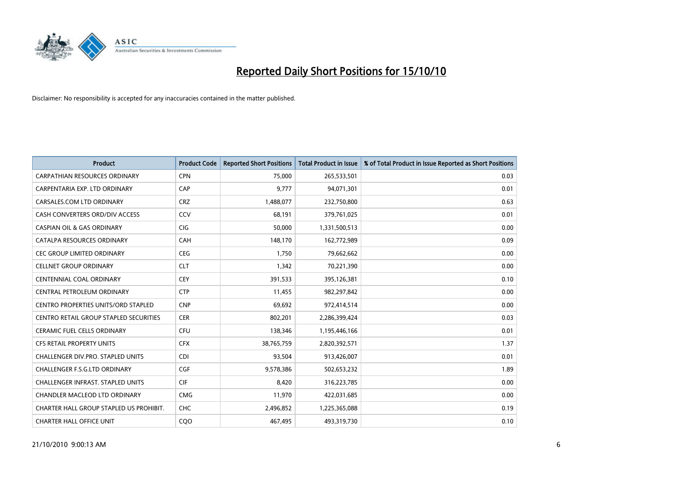

| <b>Product</b>                                | <b>Product Code</b> | <b>Reported Short Positions</b> | <b>Total Product in Issue</b> | % of Total Product in Issue Reported as Short Positions |
|-----------------------------------------------|---------------------|---------------------------------|-------------------------------|---------------------------------------------------------|
| <b>CARPATHIAN RESOURCES ORDINARY</b>          | <b>CPN</b>          | 75.000                          | 265,533,501                   | 0.03                                                    |
| CARPENTARIA EXP. LTD ORDINARY                 | CAP                 | 9,777                           | 94,071,301                    | 0.01                                                    |
| CARSALES.COM LTD ORDINARY                     | <b>CRZ</b>          | 1,488,077                       | 232,750,800                   | 0.63                                                    |
| CASH CONVERTERS ORD/DIV ACCESS                | CCV                 | 68,191                          | 379,761,025                   | 0.01                                                    |
| <b>CASPIAN OIL &amp; GAS ORDINARY</b>         | <b>CIG</b>          | 50,000                          | 1,331,500,513                 | 0.00                                                    |
| CATALPA RESOURCES ORDINARY                    | CAH                 | 148,170                         | 162,772,989                   | 0.09                                                    |
| <b>CEC GROUP LIMITED ORDINARY</b>             | <b>CEG</b>          | 1,750                           | 79,662,662                    | 0.00                                                    |
| <b>CELLNET GROUP ORDINARY</b>                 | <b>CLT</b>          | 1,342                           | 70,221,390                    | 0.00                                                    |
| <b>CENTENNIAL COAL ORDINARY</b>               | <b>CEY</b>          | 391,533                         | 395,126,381                   | 0.10                                                    |
| CENTRAL PETROLEUM ORDINARY                    | <b>CTP</b>          | 11,455                          | 982,297,842                   | 0.00                                                    |
| <b>CENTRO PROPERTIES UNITS/ORD STAPLED</b>    | <b>CNP</b>          | 69,692                          | 972,414,514                   | 0.00                                                    |
| <b>CENTRO RETAIL GROUP STAPLED SECURITIES</b> | <b>CER</b>          | 802,201                         | 2,286,399,424                 | 0.03                                                    |
| <b>CERAMIC FUEL CELLS ORDINARY</b>            | <b>CFU</b>          | 138,346                         | 1,195,446,166                 | 0.01                                                    |
| <b>CFS RETAIL PROPERTY UNITS</b>              | <b>CFX</b>          | 38,765,759                      | 2,820,392,571                 | 1.37                                                    |
| <b>CHALLENGER DIV.PRO. STAPLED UNITS</b>      | <b>CDI</b>          | 93.504                          | 913,426,007                   | 0.01                                                    |
| CHALLENGER F.S.G.LTD ORDINARY                 | CGF                 | 9,578,386                       | 502,653,232                   | 1.89                                                    |
| <b>CHALLENGER INFRAST, STAPLED UNITS</b>      | <b>CIF</b>          | 8,420                           | 316,223,785                   | 0.00                                                    |
| CHANDLER MACLEOD LTD ORDINARY                 | <b>CMG</b>          | 11,970                          | 422,031,685                   | 0.00                                                    |
| CHARTER HALL GROUP STAPLED US PROHIBIT.       | <b>CHC</b>          | 2,496,852                       | 1,225,365,088                 | 0.19                                                    |
| <b>CHARTER HALL OFFICE UNIT</b>               | COO                 | 467,495                         | 493,319,730                   | 0.10                                                    |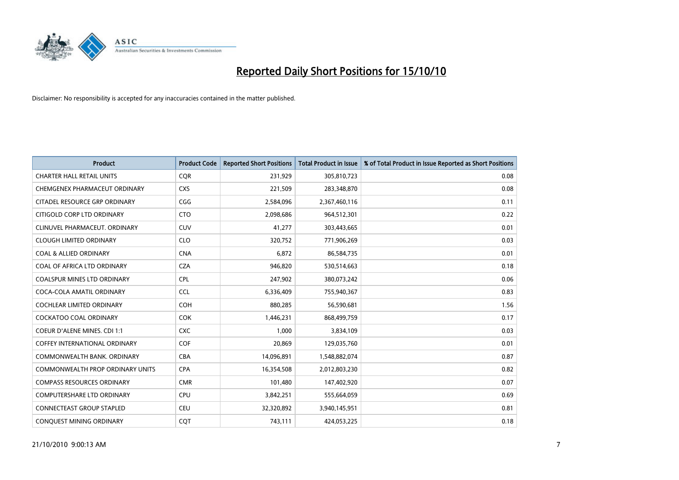

| <b>Product</b>                          | <b>Product Code</b> | <b>Reported Short Positions</b> | <b>Total Product in Issue</b> | % of Total Product in Issue Reported as Short Positions |
|-----------------------------------------|---------------------|---------------------------------|-------------------------------|---------------------------------------------------------|
| <b>CHARTER HALL RETAIL UNITS</b>        | <b>CQR</b>          | 231,929                         | 305,810,723                   | 0.08                                                    |
| CHEMGENEX PHARMACEUT ORDINARY           | <b>CXS</b>          | 221,509                         | 283,348,870                   | 0.08                                                    |
| <b>CITADEL RESOURCE GRP ORDINARY</b>    | CGG                 | 2,584,096                       | 2,367,460,116                 | 0.11                                                    |
| CITIGOLD CORP LTD ORDINARY              | <b>CTO</b>          | 2.098.686                       | 964,512,301                   | 0.22                                                    |
| CLINUVEL PHARMACEUT, ORDINARY           | <b>CUV</b>          | 41,277                          | 303,443,665                   | 0.01                                                    |
| <b>CLOUGH LIMITED ORDINARY</b>          | <b>CLO</b>          | 320,752                         | 771,906,269                   | 0.03                                                    |
| <b>COAL &amp; ALLIED ORDINARY</b>       | <b>CNA</b>          | 6.872                           | 86,584,735                    | 0.01                                                    |
| COAL OF AFRICA LTD ORDINARY             | <b>CZA</b>          | 946,820                         | 530,514,663                   | 0.18                                                    |
| <b>COALSPUR MINES LTD ORDINARY</b>      | <b>CPL</b>          | 247,902                         | 380,073,242                   | 0.06                                                    |
| COCA-COLA AMATIL ORDINARY               | <b>CCL</b>          | 6,336,409                       | 755,940,367                   | 0.83                                                    |
| COCHLEAR LIMITED ORDINARY               | COH                 | 880,285                         | 56,590,681                    | 1.56                                                    |
| <b>COCKATOO COAL ORDINARY</b>           | <b>COK</b>          | 1,446,231                       | 868,499,759                   | 0.17                                                    |
| <b>COEUR D'ALENE MINES. CDI 1:1</b>     | <b>CXC</b>          | 1.000                           | 3,834,109                     | 0.03                                                    |
| <b>COFFEY INTERNATIONAL ORDINARY</b>    | <b>COF</b>          | 20,869                          | 129,035,760                   | 0.01                                                    |
| COMMONWEALTH BANK, ORDINARY             | <b>CBA</b>          | 14,096,891                      | 1,548,882,074                 | 0.87                                                    |
| <b>COMMONWEALTH PROP ORDINARY UNITS</b> | <b>CPA</b>          | 16,354,508                      | 2,012,803,230                 | 0.82                                                    |
| <b>COMPASS RESOURCES ORDINARY</b>       | <b>CMR</b>          | 101,480                         | 147,402,920                   | 0.07                                                    |
| <b>COMPUTERSHARE LTD ORDINARY</b>       | <b>CPU</b>          | 3,842,251                       | 555,664,059                   | 0.69                                                    |
| <b>CONNECTEAST GROUP STAPLED</b>        | <b>CEU</b>          | 32,320,892                      | 3,940,145,951                 | 0.81                                                    |
| CONQUEST MINING ORDINARY                | CQT                 | 743,111                         | 424,053,225                   | 0.18                                                    |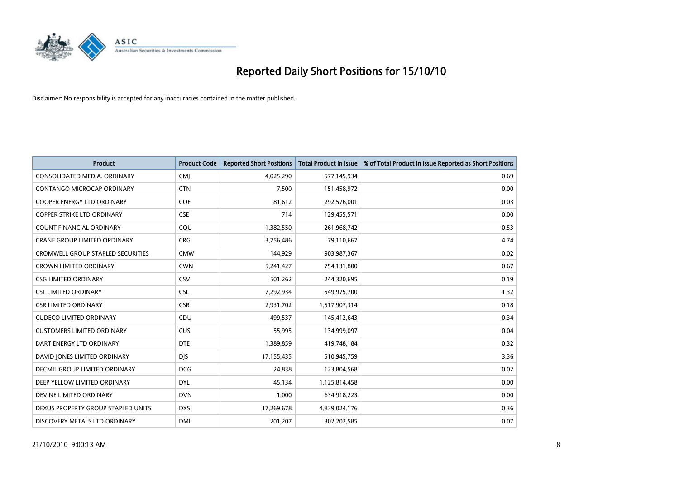

| <b>Product</b>                           | <b>Product Code</b> | <b>Reported Short Positions</b> | Total Product in Issue | % of Total Product in Issue Reported as Short Positions |
|------------------------------------------|---------------------|---------------------------------|------------------------|---------------------------------------------------------|
| CONSOLIDATED MEDIA, ORDINARY             | CMJ                 | 4,025,290                       | 577,145,934            | 0.69                                                    |
| CONTANGO MICROCAP ORDINARY               | <b>CTN</b>          | 7,500                           | 151,458,972            | 0.00                                                    |
| <b>COOPER ENERGY LTD ORDINARY</b>        | <b>COE</b>          | 81,612                          | 292,576,001            | 0.03                                                    |
| COPPER STRIKE LTD ORDINARY               | <b>CSE</b>          | 714                             | 129,455,571            | 0.00                                                    |
| <b>COUNT FINANCIAL ORDINARY</b>          | COU                 | 1,382,550                       | 261,968,742            | 0.53                                                    |
| <b>CRANE GROUP LIMITED ORDINARY</b>      | <b>CRG</b>          | 3,756,486                       | 79,110,667             | 4.74                                                    |
| <b>CROMWELL GROUP STAPLED SECURITIES</b> | <b>CMW</b>          | 144,929                         | 903,987,367            | 0.02                                                    |
| <b>CROWN LIMITED ORDINARY</b>            | <b>CWN</b>          | 5,241,427                       | 754,131,800            | 0.67                                                    |
| <b>CSG LIMITED ORDINARY</b>              | CSV                 | 501,262                         | 244,320,695            | 0.19                                                    |
| <b>CSL LIMITED ORDINARY</b>              | <b>CSL</b>          | 7,292,934                       | 549,975,700            | 1.32                                                    |
| CSR LIMITED ORDINARY                     | <b>CSR</b>          | 2,931,702                       | 1,517,907,314          | 0.18                                                    |
| <b>CUDECO LIMITED ORDINARY</b>           | CDU                 | 499,537                         | 145,412,643            | 0.34                                                    |
| <b>CUSTOMERS LIMITED ORDINARY</b>        | CUS                 | 55,995                          | 134,999,097            | 0.04                                                    |
| DART ENERGY LTD ORDINARY                 | <b>DTE</b>          | 1,389,859                       | 419,748,184            | 0.32                                                    |
| DAVID JONES LIMITED ORDINARY             | <b>DJS</b>          | 17,155,435                      | 510,945,759            | 3.36                                                    |
| DECMIL GROUP LIMITED ORDINARY            | <b>DCG</b>          | 24,838                          | 123,804,568            | 0.02                                                    |
| DEEP YELLOW LIMITED ORDINARY             | <b>DYL</b>          | 45,134                          | 1,125,814,458          | 0.00                                                    |
| DEVINE LIMITED ORDINARY                  | <b>DVN</b>          | 1,000                           | 634,918,223            | 0.00                                                    |
| DEXUS PROPERTY GROUP STAPLED UNITS       | <b>DXS</b>          | 17,269,678                      | 4,839,024,176          | 0.36                                                    |
| DISCOVERY METALS LTD ORDINARY            | <b>DML</b>          | 201,207                         | 302,202,585            | 0.07                                                    |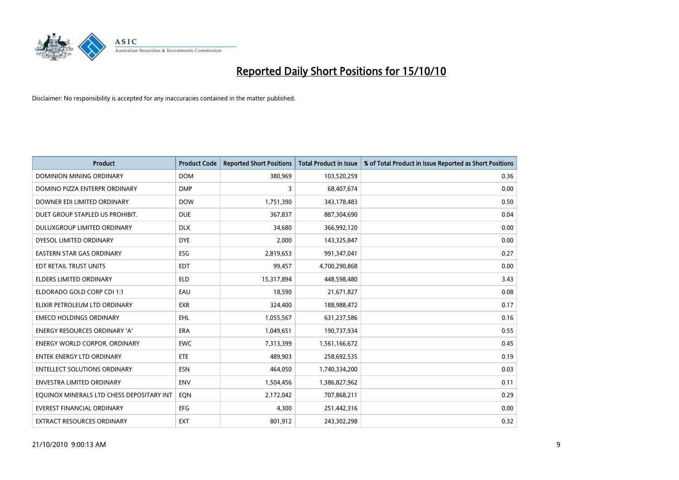

| <b>Product</b>                            | <b>Product Code</b> | <b>Reported Short Positions</b> | <b>Total Product in Issue</b> | % of Total Product in Issue Reported as Short Positions |
|-------------------------------------------|---------------------|---------------------------------|-------------------------------|---------------------------------------------------------|
| <b>DOMINION MINING ORDINARY</b>           | <b>DOM</b>          | 380.969                         | 103,520,259                   | 0.36                                                    |
| DOMINO PIZZA ENTERPR ORDINARY             | <b>DMP</b>          | 3                               | 68,407,674                    | 0.00                                                    |
| DOWNER EDI LIMITED ORDINARY               | <b>DOW</b>          | 1,751,390                       | 343,178,483                   | 0.50                                                    |
| DUET GROUP STAPLED US PROHIBIT.           | <b>DUE</b>          | 367,837                         | 887,304,690                   | 0.04                                                    |
| DULUXGROUP LIMITED ORDINARY               | <b>DLX</b>          | 34,680                          | 366,992,120                   | 0.00                                                    |
| DYESOL LIMITED ORDINARY                   | <b>DYE</b>          | 2,000                           | 143,325,847                   | 0.00                                                    |
| <b>EASTERN STAR GAS ORDINARY</b>          | ESG                 | 2,819,653                       | 991,347,041                   | 0.27                                                    |
| EDT RETAIL TRUST UNITS                    | <b>EDT</b>          | 99.457                          | 4,700,290,868                 | 0.00                                                    |
| <b>ELDERS LIMITED ORDINARY</b>            | <b>ELD</b>          | 15,317,894                      | 448,598,480                   | 3.43                                                    |
| ELDORADO GOLD CORP CDI 1:1                | EAU                 | 18,590                          | 21,671,827                    | 0.08                                                    |
| ELIXIR PETROLEUM LTD ORDINARY             | <b>EXR</b>          | 324,400                         | 188,988,472                   | 0.17                                                    |
| <b>EMECO HOLDINGS ORDINARY</b>            | EHL                 | 1,055,567                       | 631,237,586                   | 0.16                                                    |
| <b>ENERGY RESOURCES ORDINARY 'A'</b>      | <b>ERA</b>          | 1,049,651                       | 190,737,934                   | 0.55                                                    |
| <b>ENERGY WORLD CORPOR, ORDINARY</b>      | <b>EWC</b>          | 7,313,399                       | 1,561,166,672                 | 0.45                                                    |
| <b>ENTEK ENERGY LTD ORDINARY</b>          | ETE                 | 489.903                         | 258,692,535                   | 0.19                                                    |
| <b>ENTELLECT SOLUTIONS ORDINARY</b>       | <b>ESN</b>          | 464,050                         | 1,740,334,200                 | 0.03                                                    |
| ENVESTRA LIMITED ORDINARY                 | <b>ENV</b>          | 1,504,456                       | 1,386,827,962                 | 0.11                                                    |
| EQUINOX MINERALS LTD CHESS DEPOSITARY INT | EQN                 | 2,172,042                       | 707,868,211                   | 0.29                                                    |
| <b>EVEREST FINANCIAL ORDINARY</b>         | EFG                 | 4,300                           | 251,442,316                   | 0.00                                                    |
| EXTRACT RESOURCES ORDINARY                | <b>EXT</b>          | 801,912                         | 243,302,298                   | 0.32                                                    |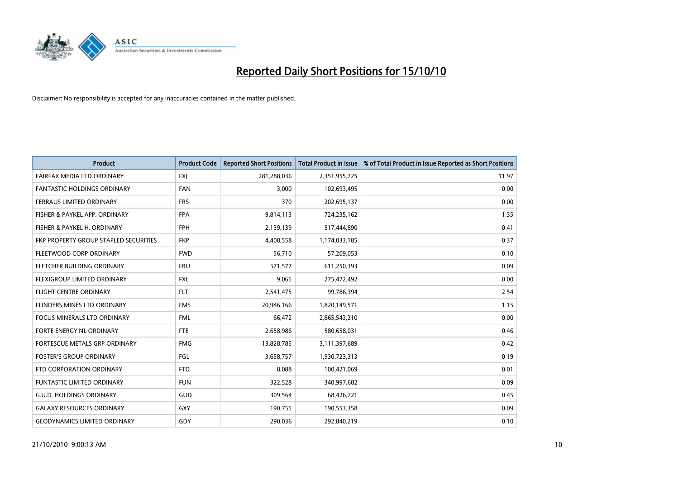

| <b>Product</b>                        | <b>Product Code</b> | <b>Reported Short Positions</b> | <b>Total Product in Issue</b> | % of Total Product in Issue Reported as Short Positions |
|---------------------------------------|---------------------|---------------------------------|-------------------------------|---------------------------------------------------------|
| FAIRFAX MEDIA LTD ORDINARY            | <b>FXJ</b>          | 281,288,036                     | 2,351,955,725                 | 11.97                                                   |
| <b>FANTASTIC HOLDINGS ORDINARY</b>    | <b>FAN</b>          | 3.000                           | 102,693,495                   | 0.00                                                    |
| <b>FERRAUS LIMITED ORDINARY</b>       | <b>FRS</b>          | 370                             | 202,695,137                   | 0.00                                                    |
| FISHER & PAYKEL APP. ORDINARY         | <b>FPA</b>          | 9,814,113                       | 724,235,162                   | 1.35                                                    |
| FISHER & PAYKEL H. ORDINARY           | <b>FPH</b>          | 2,139,139                       | 517,444,890                   | 0.41                                                    |
| FKP PROPERTY GROUP STAPLED SECURITIES | <b>FKP</b>          | 4,408,558                       | 1,174,033,185                 | 0.37                                                    |
| FLEETWOOD CORP ORDINARY               | <b>FWD</b>          | 56,710                          | 57,209,053                    | 0.10                                                    |
| FLETCHER BUILDING ORDINARY            | <b>FBU</b>          | 571,577                         | 611,250,393                   | 0.09                                                    |
| FLEXIGROUP LIMITED ORDINARY           | <b>FXL</b>          | 9,065                           | 275,472,492                   | 0.00                                                    |
| <b>FLIGHT CENTRE ORDINARY</b>         | <b>FLT</b>          | 2,541,475                       | 99,786,394                    | 2.54                                                    |
| FLINDERS MINES LTD ORDINARY           | <b>FMS</b>          | 20,946,166                      | 1,820,149,571                 | 1.15                                                    |
| <b>FOCUS MINERALS LTD ORDINARY</b>    | <b>FML</b>          | 66,472                          | 2,865,543,210                 | 0.00                                                    |
| FORTE ENERGY NL ORDINARY              | <b>FTE</b>          | 2,658,986                       | 580,658,031                   | 0.46                                                    |
| FORTESCUE METALS GRP ORDINARY         | <b>FMG</b>          | 13,828,785                      | 3,111,397,689                 | 0.42                                                    |
| <b>FOSTER'S GROUP ORDINARY</b>        | FGL                 | 3,658,757                       | 1,930,723,313                 | 0.19                                                    |
| FTD CORPORATION ORDINARY              | <b>FTD</b>          | 8,088                           | 100,421,069                   | 0.01                                                    |
| <b>FUNTASTIC LIMITED ORDINARY</b>     | <b>FUN</b>          | 322,528                         | 340,997,682                   | 0.09                                                    |
| <b>G.U.D. HOLDINGS ORDINARY</b>       | <b>GUD</b>          | 309,564                         | 68,426,721                    | 0.45                                                    |
| <b>GALAXY RESOURCES ORDINARY</b>      | <b>GXY</b>          | 190,755                         | 190,553,358                   | 0.09                                                    |
| <b>GEODYNAMICS LIMITED ORDINARY</b>   | GDY                 | 290.036                         | 292,840,219                   | 0.10                                                    |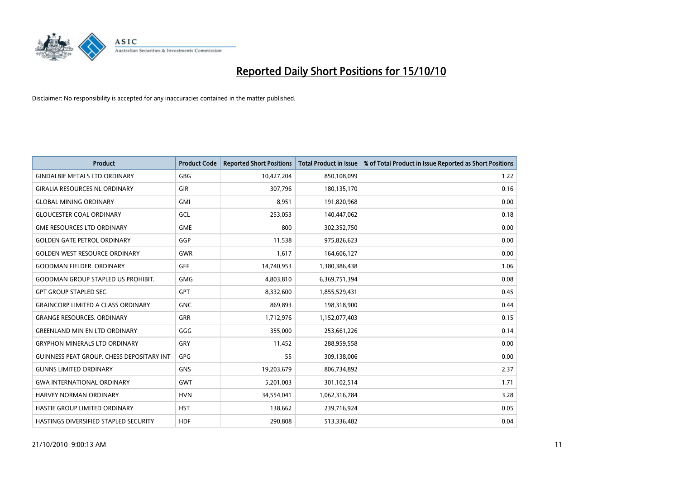

| <b>Product</b>                                   | <b>Product Code</b> | <b>Reported Short Positions</b> | <b>Total Product in Issue</b> | % of Total Product in Issue Reported as Short Positions |
|--------------------------------------------------|---------------------|---------------------------------|-------------------------------|---------------------------------------------------------|
| <b>GINDALBIE METALS LTD ORDINARY</b>             | <b>GBG</b>          | 10,427,204                      | 850,108,099                   | 1.22                                                    |
| <b>GIRALIA RESOURCES NL ORDINARY</b>             | GIR                 | 307,796                         | 180,135,170                   | 0.16                                                    |
| <b>GLOBAL MINING ORDINARY</b>                    | <b>GMI</b>          | 8,951                           | 191,820,968                   | 0.00                                                    |
| <b>GLOUCESTER COAL ORDINARY</b>                  | GCL                 | 253,053                         | 140,447,062                   | 0.18                                                    |
| <b>GME RESOURCES LTD ORDINARY</b>                | <b>GME</b>          | 800                             | 302,352,750                   | 0.00                                                    |
| <b>GOLDEN GATE PETROL ORDINARY</b>               | GGP                 | 11,538                          | 975,826,623                   | 0.00                                                    |
| <b>GOLDEN WEST RESOURCE ORDINARY</b>             | <b>GWR</b>          | 1,617                           | 164,606,127                   | 0.00                                                    |
| <b>GOODMAN FIELDER, ORDINARY</b>                 | <b>GFF</b>          | 14,740,953                      | 1,380,386,438                 | 1.06                                                    |
| <b>GOODMAN GROUP STAPLED US PROHIBIT.</b>        | <b>GMG</b>          | 4,803,810                       | 6,369,751,394                 | 0.08                                                    |
| <b>GPT GROUP STAPLED SEC.</b>                    | <b>GPT</b>          | 8,332,600                       | 1,855,529,431                 | 0.45                                                    |
| <b>GRAINCORP LIMITED A CLASS ORDINARY</b>        | <b>GNC</b>          | 869,893                         | 198,318,900                   | 0.44                                                    |
| <b>GRANGE RESOURCES, ORDINARY</b>                | <b>GRR</b>          | 1,712,976                       | 1,152,077,403                 | 0.15                                                    |
| <b>GREENLAND MIN EN LTD ORDINARY</b>             | GGG                 | 355,000                         | 253,661,226                   | 0.14                                                    |
| <b>GRYPHON MINERALS LTD ORDINARY</b>             | GRY                 | 11,452                          | 288,959,558                   | 0.00                                                    |
| <b>GUINNESS PEAT GROUP. CHESS DEPOSITARY INT</b> | <b>GPG</b>          | 55                              | 309,138,006                   | 0.00                                                    |
| <b>GUNNS LIMITED ORDINARY</b>                    | <b>GNS</b>          | 19,203,679                      | 806,734,892                   | 2.37                                                    |
| <b>GWA INTERNATIONAL ORDINARY</b>                | <b>GWT</b>          | 5,201,003                       | 301,102,514                   | 1.71                                                    |
| <b>HARVEY NORMAN ORDINARY</b>                    | <b>HVN</b>          | 34,554,041                      | 1,062,316,784                 | 3.28                                                    |
| HASTIE GROUP LIMITED ORDINARY                    | <b>HST</b>          | 138,662                         | 239,716,924                   | 0.05                                                    |
| HASTINGS DIVERSIFIED STAPLED SECURITY            | <b>HDF</b>          | 290,808                         | 513,336,482                   | 0.04                                                    |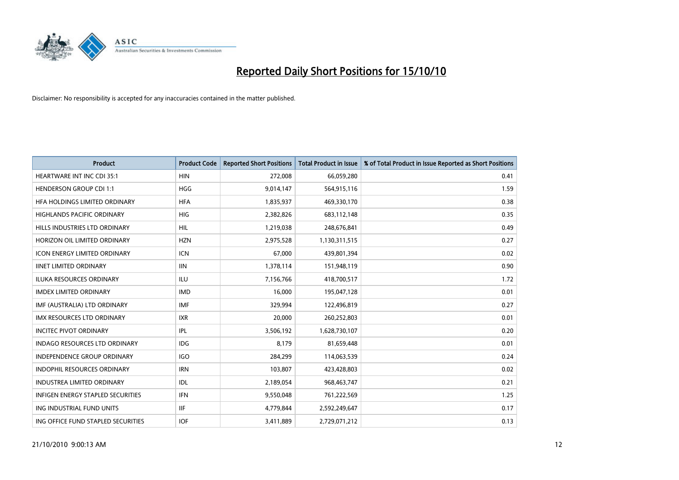

| <b>Product</b>                      | <b>Product Code</b> | <b>Reported Short Positions</b> | <b>Total Product in Issue</b> | % of Total Product in Issue Reported as Short Positions |
|-------------------------------------|---------------------|---------------------------------|-------------------------------|---------------------------------------------------------|
| <b>HEARTWARE INT INC CDI 35:1</b>   | <b>HIN</b>          | 272,008                         | 66,059,280                    | 0.41                                                    |
| <b>HENDERSON GROUP CDI 1:1</b>      | <b>HGG</b>          | 9,014,147                       | 564,915,116                   | 1.59                                                    |
| HFA HOLDINGS LIMITED ORDINARY       | <b>HFA</b>          | 1,835,937                       | 469,330,170                   | 0.38                                                    |
| HIGHLANDS PACIFIC ORDINARY          | <b>HIG</b>          | 2,382,826                       | 683,112,148                   | 0.35                                                    |
| HILLS INDUSTRIES LTD ORDINARY       | <b>HIL</b>          | 1,219,038                       | 248,676,841                   | 0.49                                                    |
| HORIZON OIL LIMITED ORDINARY        | <b>HZN</b>          | 2,975,528                       | 1,130,311,515                 | 0.27                                                    |
| <b>ICON ENERGY LIMITED ORDINARY</b> | <b>ICN</b>          | 67,000                          | 439,801,394                   | 0.02                                                    |
| <b>IINET LIMITED ORDINARY</b>       | <b>IIN</b>          | 1,378,114                       | 151,948,119                   | 0.90                                                    |
| <b>ILUKA RESOURCES ORDINARY</b>     | <b>ILU</b>          | 7,156,766                       | 418,700,517                   | 1.72                                                    |
| <b>IMDEX LIMITED ORDINARY</b>       | <b>IMD</b>          | 16,000                          | 195,047,128                   | 0.01                                                    |
| IMF (AUSTRALIA) LTD ORDINARY        | <b>IMF</b>          | 329,994                         | 122,496,819                   | 0.27                                                    |
| <b>IMX RESOURCES LTD ORDINARY</b>   | <b>IXR</b>          | 20,000                          | 260,252,803                   | 0.01                                                    |
| <b>INCITEC PIVOT ORDINARY</b>       | <b>IPL</b>          | 3,506,192                       | 1,628,730,107                 | 0.20                                                    |
| INDAGO RESOURCES LTD ORDINARY       | <b>IDG</b>          | 8,179                           | 81,659,448                    | 0.01                                                    |
| <b>INDEPENDENCE GROUP ORDINARY</b>  | <b>IGO</b>          | 284,299                         | 114,063,539                   | 0.24                                                    |
| INDOPHIL RESOURCES ORDINARY         | <b>IRN</b>          | 103,807                         | 423,428,803                   | 0.02                                                    |
| INDUSTREA LIMITED ORDINARY          | IDL                 | 2,189,054                       | 968,463,747                   | 0.21                                                    |
| INFIGEN ENERGY STAPLED SECURITIES   | <b>IFN</b>          | 9,550,048                       | 761,222,569                   | 1.25                                                    |
| ING INDUSTRIAL FUND UNITS           | <b>IIF</b>          | 4,779,844                       | 2,592,249,647                 | 0.17                                                    |
| ING OFFICE FUND STAPLED SECURITIES  | <b>IOF</b>          | 3,411,889                       | 2,729,071,212                 | 0.13                                                    |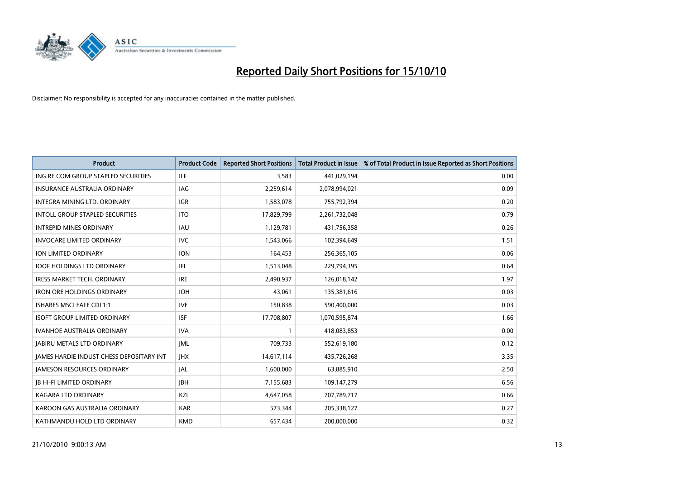

| <b>Product</b>                                  | <b>Product Code</b> | <b>Reported Short Positions</b> | Total Product in Issue | % of Total Product in Issue Reported as Short Positions |
|-------------------------------------------------|---------------------|---------------------------------|------------------------|---------------------------------------------------------|
| ING RE COM GROUP STAPLED SECURITIES             | <b>ILF</b>          | 3,583                           | 441,029,194            | 0.00                                                    |
| <b>INSURANCE AUSTRALIA ORDINARY</b>             | <b>IAG</b>          | 2,259,614                       | 2,078,994,021          | 0.09                                                    |
| INTEGRA MINING LTD, ORDINARY                    | <b>IGR</b>          | 1,583,078                       | 755,792,394            | 0.20                                                    |
| INTOLL GROUP STAPLED SECURITIES                 | <b>ITO</b>          | 17,829,799                      | 2,261,732,048          | 0.79                                                    |
| <b>INTREPID MINES ORDINARY</b>                  | <b>IAU</b>          | 1,129,781                       | 431,756,358            | 0.26                                                    |
| <b>INVOCARE LIMITED ORDINARY</b>                | <b>IVC</b>          | 1,543,066                       | 102,394,649            | 1.51                                                    |
| <b>ION LIMITED ORDINARY</b>                     | <b>ION</b>          | 164,453                         | 256,365,105            | 0.06                                                    |
| <b>IOOF HOLDINGS LTD ORDINARY</b>               | <b>IFL</b>          | 1,513,048                       | 229,794,395            | 0.64                                                    |
| <b>IRESS MARKET TECH. ORDINARY</b>              | <b>IRE</b>          | 2,490,937                       | 126,018,142            | 1.97                                                    |
| <b>IRON ORE HOLDINGS ORDINARY</b>               | <b>IOH</b>          | 43.061                          | 135,381,616            | 0.03                                                    |
| <b>ISHARES MSCI EAFE CDI 1:1</b>                | <b>IVE</b>          | 150,838                         | 590,400,000            | 0.03                                                    |
| <b>ISOFT GROUP LIMITED ORDINARY</b>             | <b>ISF</b>          | 17,708,807                      | 1,070,595,874          | 1.66                                                    |
| <b>IVANHOE AUSTRALIA ORDINARY</b>               | <b>IVA</b>          |                                 | 418,083,853            | 0.00                                                    |
| <b>JABIRU METALS LTD ORDINARY</b>               | <b>JML</b>          | 709.733                         | 552,619,180            | 0.12                                                    |
| <b>JAMES HARDIE INDUST CHESS DEPOSITARY INT</b> | <b>IHX</b>          | 14,617,114                      | 435,726,268            | 3.35                                                    |
| <b>JAMESON RESOURCES ORDINARY</b>               | <b>JAL</b>          | 1,600,000                       | 63,885,910             | 2.50                                                    |
| <b>JB HI-FI LIMITED ORDINARY</b>                | <b>IBH</b>          | 7,155,683                       | 109,147,279            | 6.56                                                    |
| <b>KAGARA LTD ORDINARY</b>                      | KZL                 | 4,647,058                       | 707,789,717            | 0.66                                                    |
| KAROON GAS AUSTRALIA ORDINARY                   | <b>KAR</b>          | 573,344                         | 205,338,127            | 0.27                                                    |
| KATHMANDU HOLD LTD ORDINARY                     | <b>KMD</b>          | 657.434                         | 200.000.000            | 0.32                                                    |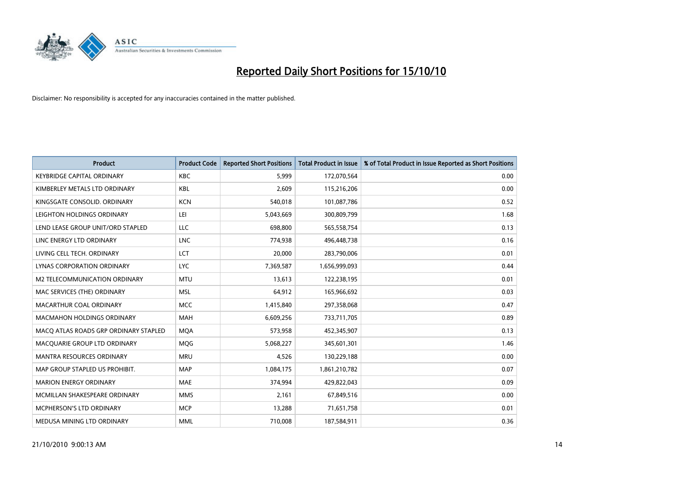

| <b>Product</b>                        | <b>Product Code</b> | <b>Reported Short Positions</b> | <b>Total Product in Issue</b> | % of Total Product in Issue Reported as Short Positions |
|---------------------------------------|---------------------|---------------------------------|-------------------------------|---------------------------------------------------------|
| <b>KEYBRIDGE CAPITAL ORDINARY</b>     | <b>KBC</b>          | 5.999                           | 172,070,564                   | 0.00                                                    |
| KIMBERLEY METALS LTD ORDINARY         | <b>KBL</b>          | 2,609                           | 115,216,206                   | 0.00                                                    |
| KINGSGATE CONSOLID. ORDINARY          | <b>KCN</b>          | 540,018                         | 101,087,786                   | 0.52                                                    |
| LEIGHTON HOLDINGS ORDINARY            | LEI                 | 5,043,669                       | 300,809,799                   | 1.68                                                    |
| LEND LEASE GROUP UNIT/ORD STAPLED     | LLC                 | 698,800                         | 565,558,754                   | 0.13                                                    |
| LINC ENERGY LTD ORDINARY              | <b>LNC</b>          | 774,938                         | 496,448,738                   | 0.16                                                    |
| LIVING CELL TECH. ORDINARY            | LCT                 | 20,000                          | 283,790,006                   | 0.01                                                    |
| LYNAS CORPORATION ORDINARY            | <b>LYC</b>          | 7,369,587                       | 1,656,999,093                 | 0.44                                                    |
| M2 TELECOMMUNICATION ORDINARY         | <b>MTU</b>          | 13,613                          | 122,238,195                   | 0.01                                                    |
| MAC SERVICES (THE) ORDINARY           | <b>MSL</b>          | 64.912                          | 165,966,692                   | 0.03                                                    |
| MACARTHUR COAL ORDINARY               | <b>MCC</b>          | 1,415,840                       | 297,358,068                   | 0.47                                                    |
| <b>MACMAHON HOLDINGS ORDINARY</b>     | <b>MAH</b>          | 6,609,256                       | 733,711,705                   | 0.89                                                    |
| MACQ ATLAS ROADS GRP ORDINARY STAPLED | <b>MOA</b>          | 573,958                         | 452,345,907                   | 0.13                                                    |
| MACQUARIE GROUP LTD ORDINARY          | <b>MOG</b>          | 5,068,227                       | 345,601,301                   | 1.46                                                    |
| <b>MANTRA RESOURCES ORDINARY</b>      | <b>MRU</b>          | 4.526                           | 130,229,188                   | 0.00                                                    |
| MAP GROUP STAPLED US PROHIBIT.        | <b>MAP</b>          | 1,084,175                       | 1,861,210,782                 | 0.07                                                    |
| <b>MARION ENERGY ORDINARY</b>         | <b>MAE</b>          | 374,994                         | 429,822,043                   | 0.09                                                    |
| MCMILLAN SHAKESPEARE ORDINARY         | <b>MMS</b>          | 2,161                           | 67,849,516                    | 0.00                                                    |
| MCPHERSON'S LTD ORDINARY              | <b>MCP</b>          | 13,288                          | 71,651,758                    | 0.01                                                    |
| MEDUSA MINING LTD ORDINARY            | <b>MML</b>          | 710,008                         | 187,584,911                   | 0.36                                                    |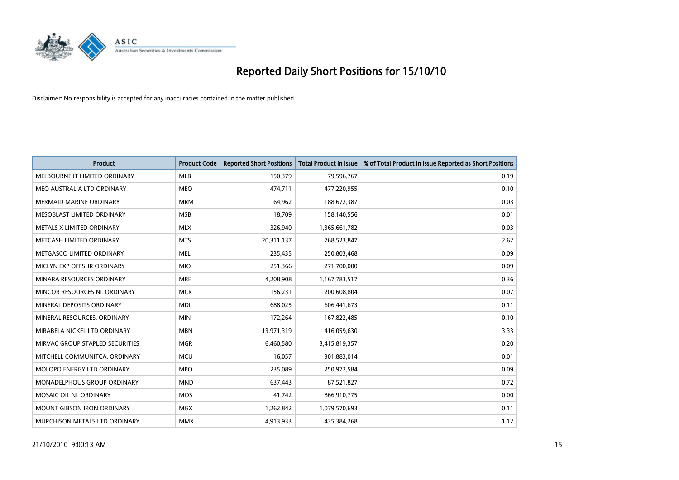

| <b>Product</b>                    | <b>Product Code</b> | <b>Reported Short Positions</b> | <b>Total Product in Issue</b> | % of Total Product in Issue Reported as Short Positions |
|-----------------------------------|---------------------|---------------------------------|-------------------------------|---------------------------------------------------------|
| MELBOURNE IT LIMITED ORDINARY     | <b>MLB</b>          | 150,379                         | 79,596,767                    | 0.19                                                    |
| MEO AUSTRALIA LTD ORDINARY        | <b>MEO</b>          | 474,711                         | 477,220,955                   | 0.10                                                    |
| <b>MERMAID MARINE ORDINARY</b>    | <b>MRM</b>          | 64,962                          | 188,672,387                   | 0.03                                                    |
| MESOBLAST LIMITED ORDINARY        | <b>MSB</b>          | 18,709                          | 158,140,556                   | 0.01                                                    |
| METALS X LIMITED ORDINARY         | <b>MLX</b>          | 326,940                         | 1,365,661,782                 | 0.03                                                    |
| METCASH LIMITED ORDINARY          | <b>MTS</b>          | 20,311,137                      | 768,523,847                   | 2.62                                                    |
| METGASCO LIMITED ORDINARY         | <b>MEL</b>          | 235,435                         | 250,803,468                   | 0.09                                                    |
| MICLYN EXP OFFSHR ORDINARY        | <b>MIO</b>          | 251,366                         | 271,700,000                   | 0.09                                                    |
| MINARA RESOURCES ORDINARY         | <b>MRE</b>          | 4,208,908                       | 1,167,783,517                 | 0.36                                                    |
| MINCOR RESOURCES NL ORDINARY      | <b>MCR</b>          | 156,231                         | 200,608,804                   | 0.07                                                    |
| MINERAL DEPOSITS ORDINARY         | <b>MDL</b>          | 688,025                         | 606,441,673                   | 0.11                                                    |
| MINERAL RESOURCES, ORDINARY       | <b>MIN</b>          | 172,264                         | 167,822,485                   | 0.10                                                    |
| MIRABELA NICKEL LTD ORDINARY      | <b>MBN</b>          | 13,971,319                      | 416,059,630                   | 3.33                                                    |
| MIRVAC GROUP STAPLED SECURITIES   | <b>MGR</b>          | 6,460,580                       | 3,415,819,357                 | 0.20                                                    |
| MITCHELL COMMUNITCA, ORDINARY     | <b>MCU</b>          | 16,057                          | 301,883,014                   | 0.01                                                    |
| <b>MOLOPO ENERGY LTD ORDINARY</b> | <b>MPO</b>          | 235,089                         | 250,972,584                   | 0.09                                                    |
| MONADELPHOUS GROUP ORDINARY       | <b>MND</b>          | 637,443                         | 87,521,827                    | 0.72                                                    |
| MOSAIC OIL NL ORDINARY            | <b>MOS</b>          | 41,742                          | 866,910,775                   | 0.00                                                    |
| <b>MOUNT GIBSON IRON ORDINARY</b> | MGX                 | 1,262,842                       | 1,079,570,693                 | 0.11                                                    |
| MURCHISON METALS LTD ORDINARY     | <b>MMX</b>          | 4,913,933                       | 435,384,268                   | 1.12                                                    |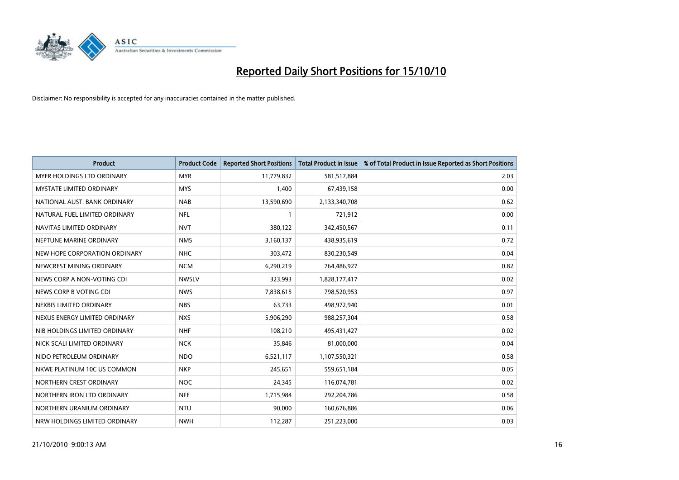

| <b>Product</b>                    | <b>Product Code</b> | <b>Reported Short Positions</b> | <b>Total Product in Issue</b> | % of Total Product in Issue Reported as Short Positions |
|-----------------------------------|---------------------|---------------------------------|-------------------------------|---------------------------------------------------------|
| <b>MYER HOLDINGS LTD ORDINARY</b> | <b>MYR</b>          | 11,779,832                      | 581,517,884                   | 2.03                                                    |
| MYSTATE LIMITED ORDINARY          | <b>MYS</b>          | 1,400                           | 67,439,158                    | 0.00                                                    |
| NATIONAL AUST. BANK ORDINARY      | <b>NAB</b>          | 13,590,690                      | 2,133,340,708                 | 0.62                                                    |
| NATURAL FUEL LIMITED ORDINARY     | <b>NFL</b>          |                                 | 721,912                       | 0.00                                                    |
| NAVITAS LIMITED ORDINARY          | <b>NVT</b>          | 380,122                         | 342,450,567                   | 0.11                                                    |
| NEPTUNE MARINE ORDINARY           | <b>NMS</b>          | 3,160,137                       | 438,935,619                   | 0.72                                                    |
| NEW HOPE CORPORATION ORDINARY     | <b>NHC</b>          | 303,472                         | 830,230,549                   | 0.04                                                    |
| NEWCREST MINING ORDINARY          | <b>NCM</b>          | 6,290,219                       | 764,486,927                   | 0.82                                                    |
| NEWS CORP A NON-VOTING CDI        | <b>NWSLV</b>        | 323,993                         | 1,828,177,417                 | 0.02                                                    |
| NEWS CORP B VOTING CDI            | <b>NWS</b>          | 7,838,615                       | 798,520,953                   | 0.97                                                    |
| NEXBIS LIMITED ORDINARY           | <b>NBS</b>          | 63,733                          | 498,972,940                   | 0.01                                                    |
| NEXUS ENERGY LIMITED ORDINARY     | <b>NXS</b>          | 5,906,290                       | 988,257,304                   | 0.58                                                    |
| NIB HOLDINGS LIMITED ORDINARY     | <b>NHF</b>          | 108,210                         | 495,431,427                   | 0.02                                                    |
| NICK SCALI LIMITED ORDINARY       | <b>NCK</b>          | 35,846                          | 81,000,000                    | 0.04                                                    |
| NIDO PETROLEUM ORDINARY           | <b>NDO</b>          | 6,521,117                       | 1,107,550,321                 | 0.58                                                    |
| NKWE PLATINUM 10C US COMMON       | <b>NKP</b>          | 245,651                         | 559,651,184                   | 0.05                                                    |
| NORTHERN CREST ORDINARY           | <b>NOC</b>          | 24,345                          | 116,074,781                   | 0.02                                                    |
| NORTHERN IRON LTD ORDINARY        | <b>NFE</b>          | 1,715,984                       | 292,204,786                   | 0.58                                                    |
| NORTHERN URANIUM ORDINARY         | <b>NTU</b>          | 90,000                          | 160,676,886                   | 0.06                                                    |
| NRW HOLDINGS LIMITED ORDINARY     | <b>NWH</b>          | 112,287                         | 251,223,000                   | 0.03                                                    |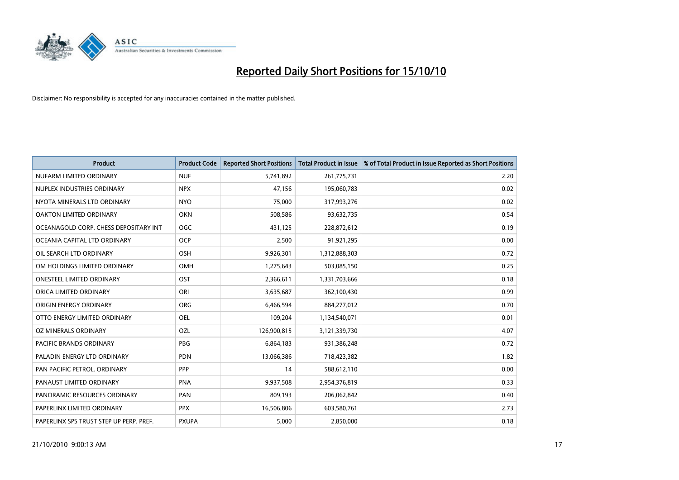

| <b>Product</b>                          | <b>Product Code</b> | <b>Reported Short Positions</b> | <b>Total Product in Issue</b> | % of Total Product in Issue Reported as Short Positions |
|-----------------------------------------|---------------------|---------------------------------|-------------------------------|---------------------------------------------------------|
| NUFARM LIMITED ORDINARY                 | <b>NUF</b>          | 5,741,892                       | 261,775,731                   | 2.20                                                    |
| NUPLEX INDUSTRIES ORDINARY              | <b>NPX</b>          | 47,156                          | 195,060,783                   | 0.02                                                    |
| NYOTA MINERALS LTD ORDINARY             | <b>NYO</b>          | 75,000                          | 317,993,276                   | 0.02                                                    |
| OAKTON LIMITED ORDINARY                 | <b>OKN</b>          | 508,586                         | 93,632,735                    | 0.54                                                    |
| OCEANAGOLD CORP. CHESS DEPOSITARY INT   | <b>OGC</b>          | 431,125                         | 228,872,612                   | 0.19                                                    |
| OCEANIA CAPITAL LTD ORDINARY            | <b>OCP</b>          | 2,500                           | 91,921,295                    | 0.00                                                    |
| OIL SEARCH LTD ORDINARY                 | OSH                 | 9,926,301                       | 1,312,888,303                 | 0.72                                                    |
| OM HOLDINGS LIMITED ORDINARY            | <b>OMH</b>          | 1,275,643                       | 503,085,150                   | 0.25                                                    |
| ONESTEEL LIMITED ORDINARY               | OST                 | 2,366,611                       | 1,331,703,666                 | 0.18                                                    |
| ORICA LIMITED ORDINARY                  | ORI                 | 3,635,687                       | 362,100,430                   | 0.99                                                    |
| ORIGIN ENERGY ORDINARY                  | <b>ORG</b>          | 6,466,594                       | 884,277,012                   | 0.70                                                    |
| OTTO ENERGY LIMITED ORDINARY            | OEL                 | 109,204                         | 1,134,540,071                 | 0.01                                                    |
| OZ MINERALS ORDINARY                    | OZL                 | 126,900,815                     | 3,121,339,730                 | 4.07                                                    |
| <b>PACIFIC BRANDS ORDINARY</b>          | <b>PBG</b>          | 6,864,183                       | 931,386,248                   | 0.72                                                    |
| PALADIN ENERGY LTD ORDINARY             | <b>PDN</b>          | 13,066,386                      | 718,423,382                   | 1.82                                                    |
| PAN PACIFIC PETROL. ORDINARY            | PPP                 | 14                              | 588,612,110                   | 0.00                                                    |
| PANAUST LIMITED ORDINARY                | <b>PNA</b>          | 9,937,508                       | 2,954,376,819                 | 0.33                                                    |
| PANORAMIC RESOURCES ORDINARY            | PAN                 | 809,193                         | 206,062,842                   | 0.40                                                    |
| PAPERLINX LIMITED ORDINARY              | <b>PPX</b>          | 16,506,806                      | 603,580,761                   | 2.73                                                    |
| PAPERLINX SPS TRUST STEP UP PERP. PREF. | <b>PXUPA</b>        | 5,000                           | 2,850,000                     | 0.18                                                    |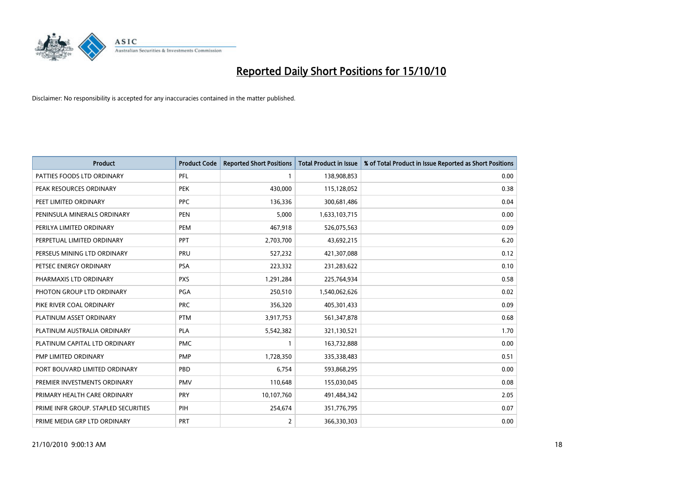

| <b>Product</b>                       | <b>Product Code</b> | <b>Reported Short Positions</b> | <b>Total Product in Issue</b> | % of Total Product in Issue Reported as Short Positions |
|--------------------------------------|---------------------|---------------------------------|-------------------------------|---------------------------------------------------------|
| PATTIES FOODS LTD ORDINARY           | PFL                 |                                 | 138,908,853                   | 0.00                                                    |
| PEAK RESOURCES ORDINARY              | <b>PEK</b>          | 430,000                         | 115,128,052                   | 0.38                                                    |
| PEET LIMITED ORDINARY                | <b>PPC</b>          | 136,336                         | 300,681,486                   | 0.04                                                    |
| PENINSULA MINERALS ORDINARY          | <b>PEN</b>          | 5,000                           | 1,633,103,715                 | 0.00                                                    |
| PERILYA LIMITED ORDINARY             | PEM                 | 467,918                         | 526,075,563                   | 0.09                                                    |
| PERPETUAL LIMITED ORDINARY           | PPT                 | 2,703,700                       | 43,692,215                    | 6.20                                                    |
| PERSEUS MINING LTD ORDINARY          | PRU                 | 527,232                         | 421,307,088                   | 0.12                                                    |
| PETSEC ENERGY ORDINARY               | <b>PSA</b>          | 223,332                         | 231,283,622                   | 0.10                                                    |
| PHARMAXIS LTD ORDINARY               | <b>PXS</b>          | 1,291,284                       | 225,764,934                   | 0.58                                                    |
| PHOTON GROUP LTD ORDINARY            | <b>PGA</b>          | 250,510                         | 1,540,062,626                 | 0.02                                                    |
| PIKE RIVER COAL ORDINARY             | <b>PRC</b>          | 356,320                         | 405,301,433                   | 0.09                                                    |
| PLATINUM ASSET ORDINARY              | <b>PTM</b>          | 3,917,753                       | 561,347,878                   | 0.68                                                    |
| PLATINUM AUSTRALIA ORDINARY          | <b>PLA</b>          | 5,542,382                       | 321,130,521                   | 1.70                                                    |
| PLATINUM CAPITAL LTD ORDINARY        | <b>PMC</b>          |                                 | 163,732,888                   | 0.00                                                    |
| <b>PMP LIMITED ORDINARY</b>          | <b>PMP</b>          | 1,728,350                       | 335,338,483                   | 0.51                                                    |
| PORT BOUVARD LIMITED ORDINARY        | PBD                 | 6.754                           | 593,868,295                   | 0.00                                                    |
| PREMIER INVESTMENTS ORDINARY         | <b>PMV</b>          | 110,648                         | 155,030,045                   | 0.08                                                    |
| PRIMARY HEALTH CARE ORDINARY         | <b>PRY</b>          | 10,107,760                      | 491,484,342                   | 2.05                                                    |
| PRIME INFR GROUP. STAPLED SECURITIES | PIH                 | 254,674                         | 351,776,795                   | 0.07                                                    |
| PRIME MEDIA GRP LTD ORDINARY         | <b>PRT</b>          | 2                               | 366,330,303                   | 0.00                                                    |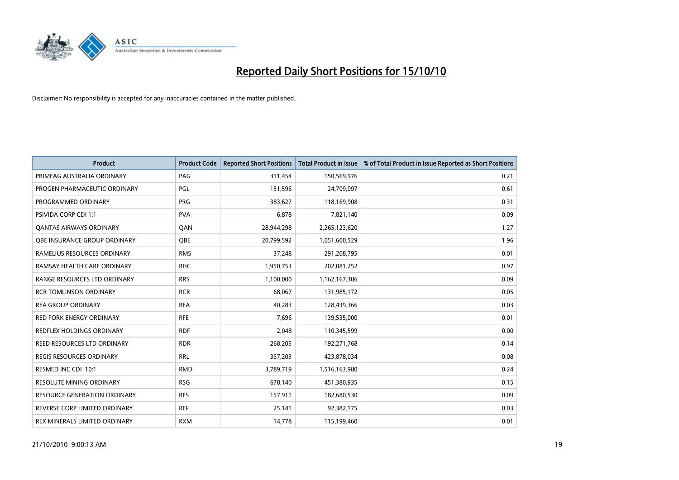

| <b>Product</b>                      | <b>Product Code</b> | <b>Reported Short Positions</b> | Total Product in Issue | % of Total Product in Issue Reported as Short Positions |
|-------------------------------------|---------------------|---------------------------------|------------------------|---------------------------------------------------------|
| PRIMEAG AUSTRALIA ORDINARY          | PAG                 | 311,454                         | 150,569,976            | 0.21                                                    |
| PROGEN PHARMACEUTIC ORDINARY        | PGL                 | 151,596                         | 24,709,097             | 0.61                                                    |
| PROGRAMMED ORDINARY                 | <b>PRG</b>          | 383,627                         | 118,169,908            | 0.31                                                    |
|                                     |                     |                                 |                        |                                                         |
| PSIVIDA CORP CDI 1:1                | <b>PVA</b>          | 6,878                           | 7,821,140              | 0.09                                                    |
| <b>QANTAS AIRWAYS ORDINARY</b>      | QAN                 | 28,944,298                      | 2,265,123,620          | 1.27                                                    |
| OBE INSURANCE GROUP ORDINARY        | <b>OBE</b>          | 20,799,592                      | 1,051,600,529          | 1.96                                                    |
| RAMELIUS RESOURCES ORDINARY         | <b>RMS</b>          | 37,248                          | 291,208,795            | 0.01                                                    |
| RAMSAY HEALTH CARE ORDINARY         | <b>RHC</b>          | 1,950,753                       | 202,081,252            | 0.97                                                    |
| <b>RANGE RESOURCES LTD ORDINARY</b> | <b>RRS</b>          | 1,100,000                       | 1,162,167,306          | 0.09                                                    |
| <b>RCR TOMLINSON ORDINARY</b>       | <b>RCR</b>          | 68,067                          | 131,985,172            | 0.05                                                    |
| <b>REA GROUP ORDINARY</b>           | <b>REA</b>          | 40,283                          | 128,439,366            | 0.03                                                    |
| <b>RED FORK ENERGY ORDINARY</b>     | <b>RFE</b>          | 7,696                           | 139,535,000            | 0.01                                                    |
| REDFLEX HOLDINGS ORDINARY           | <b>RDF</b>          | 2,048                           | 110,345,599            | 0.00                                                    |
| REED RESOURCES LTD ORDINARY         | <b>RDR</b>          | 268,205                         | 192,271,768            | 0.14                                                    |
| <b>REGIS RESOURCES ORDINARY</b>     | <b>RRL</b>          | 357,203                         | 423,878,034            | 0.08                                                    |
| RESMED INC CDI 10:1                 | <b>RMD</b>          | 3,789,719                       | 1,516,163,980          | 0.24                                                    |
| RESOLUTE MINING ORDINARY            | <b>RSG</b>          | 678,140                         | 451,380,935            | 0.15                                                    |
| <b>RESOURCE GENERATION ORDINARY</b> | <b>RES</b>          | 157,911                         | 182,680,530            | 0.09                                                    |
| REVERSE CORP LIMITED ORDINARY       | <b>REF</b>          | 25,141                          | 92,382,175             | 0.03                                                    |
| REX MINERALS LIMITED ORDINARY       | <b>RXM</b>          | 14,778                          | 115,199,460            | 0.01                                                    |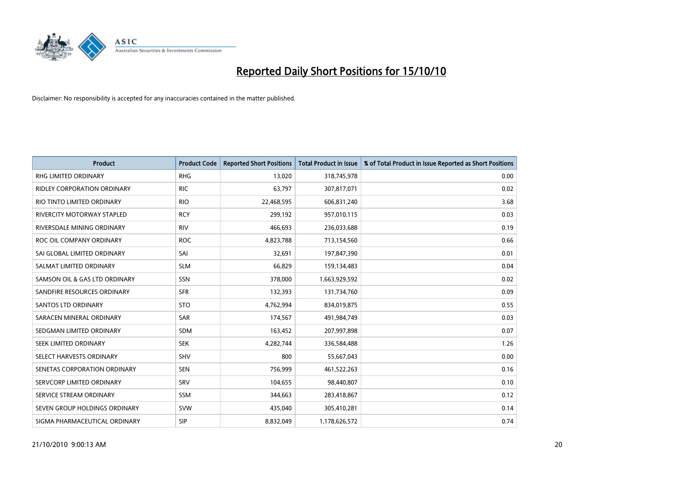

| <b>Product</b>                | <b>Product Code</b> | <b>Reported Short Positions</b> | Total Product in Issue | % of Total Product in Issue Reported as Short Positions |
|-------------------------------|---------------------|---------------------------------|------------------------|---------------------------------------------------------|
| <b>RHG LIMITED ORDINARY</b>   | <b>RHG</b>          | 13,020                          | 318,745,978            | 0.00                                                    |
| RIDLEY CORPORATION ORDINARY   | <b>RIC</b>          | 63,797                          | 307,817,071            | 0.02                                                    |
| RIO TINTO LIMITED ORDINARY    | <b>RIO</b>          | 22,468,595                      | 606,831,240            | 3.68                                                    |
| RIVERCITY MOTORWAY STAPLED    | <b>RCY</b>          | 299,192                         | 957,010,115            | 0.03                                                    |
| RIVERSDALE MINING ORDINARY    | <b>RIV</b>          | 466,693                         | 236,033,688            | 0.19                                                    |
| ROC OIL COMPANY ORDINARY      | <b>ROC</b>          | 4,823,788                       | 713,154,560            | 0.66                                                    |
| SAI GLOBAL LIMITED ORDINARY   | SAI                 | 32,691                          | 197,847,390            | 0.01                                                    |
| SALMAT LIMITED ORDINARY       | <b>SLM</b>          | 66,829                          | 159,134,483            | 0.04                                                    |
| SAMSON OIL & GAS LTD ORDINARY | SSN                 | 378,000                         | 1,663,929,592          | 0.02                                                    |
| SANDFIRE RESOURCES ORDINARY   | <b>SFR</b>          | 132,393                         | 131,734,760            | 0.09                                                    |
| <b>SANTOS LTD ORDINARY</b>    | <b>STO</b>          | 4,762,994                       | 834,019,875            | 0.55                                                    |
| SARACEN MINERAL ORDINARY      | <b>SAR</b>          | 174,567                         | 491,984,749            | 0.03                                                    |
| SEDGMAN LIMITED ORDINARY      | <b>SDM</b>          | 163,452                         | 207,997,898            | 0.07                                                    |
| SEEK LIMITED ORDINARY         | <b>SEK</b>          | 4,282,744                       | 336,584,488            | 1.26                                                    |
| SELECT HARVESTS ORDINARY      | SHV                 | 800                             | 55,667,043             | 0.00                                                    |
| SENETAS CORPORATION ORDINARY  | <b>SEN</b>          | 756,999                         | 461,522,263            | 0.16                                                    |
| SERVCORP LIMITED ORDINARY     | SRV                 | 104,655                         | 98,440,807             | 0.10                                                    |
| SERVICE STREAM ORDINARY       | <b>SSM</b>          | 344,663                         | 283,418,867            | 0.12                                                    |
| SEVEN GROUP HOLDINGS ORDINARY | <b>SVW</b>          | 435,040                         | 305,410,281            | 0.14                                                    |
| SIGMA PHARMACEUTICAL ORDINARY | SIP                 | 8,832,049                       | 1,178,626,572          | 0.74                                                    |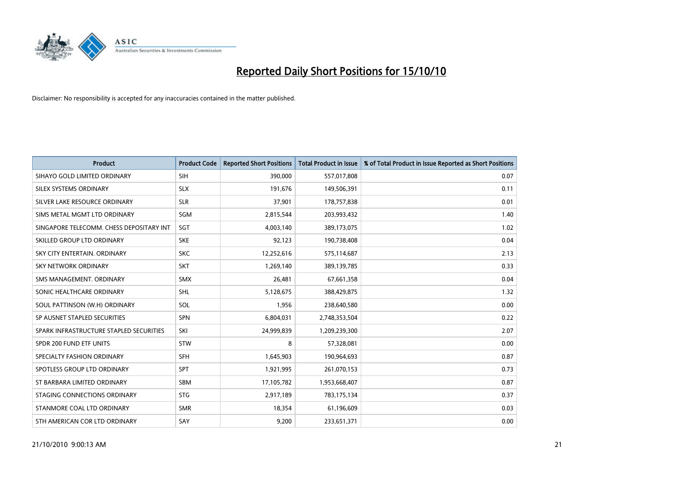

| <b>Product</b>                           | <b>Product Code</b> | <b>Reported Short Positions</b> | <b>Total Product in Issue</b> | % of Total Product in Issue Reported as Short Positions |
|------------------------------------------|---------------------|---------------------------------|-------------------------------|---------------------------------------------------------|
| SIHAYO GOLD LIMITED ORDINARY             | <b>SIH</b>          | 390,000                         | 557,017,808                   | 0.07                                                    |
| SILEX SYSTEMS ORDINARY                   | <b>SLX</b>          | 191,676                         | 149,506,391                   | 0.11                                                    |
| SILVER LAKE RESOURCE ORDINARY            | <b>SLR</b>          | 37,901                          | 178,757,838                   | 0.01                                                    |
| SIMS METAL MGMT LTD ORDINARY             | SGM                 | 2,815,544                       | 203,993,432                   | 1.40                                                    |
| SINGAPORE TELECOMM. CHESS DEPOSITARY INT | SGT                 | 4,003,140                       | 389,173,075                   | 1.02                                                    |
| SKILLED GROUP LTD ORDINARY               | <b>SKE</b>          | 92,123                          | 190,738,408                   | 0.04                                                    |
| SKY CITY ENTERTAIN, ORDINARY             | <b>SKC</b>          | 12,252,616                      | 575,114,687                   | 2.13                                                    |
| SKY NETWORK ORDINARY                     | <b>SKT</b>          | 1,269,140                       | 389,139,785                   | 0.33                                                    |
| SMS MANAGEMENT, ORDINARY                 | <b>SMX</b>          | 26,481                          | 67,661,358                    | 0.04                                                    |
| SONIC HEALTHCARE ORDINARY                | <b>SHL</b>          | 5,128,675                       | 388,429,875                   | 1.32                                                    |
| SOUL PATTINSON (W.H) ORDINARY            | SOL                 | 1,956                           | 238,640,580                   | 0.00                                                    |
| SP AUSNET STAPLED SECURITIES             | <b>SPN</b>          | 6,804,031                       | 2,748,353,504                 | 0.22                                                    |
| SPARK INFRASTRUCTURE STAPLED SECURITIES  | SKI                 | 24,999,839                      | 1,209,239,300                 | 2.07                                                    |
| SPDR 200 FUND ETF UNITS                  | <b>STW</b>          | 8                               | 57,328,081                    | 0.00                                                    |
| SPECIALTY FASHION ORDINARY               | <b>SFH</b>          | 1,645,903                       | 190,964,693                   | 0.87                                                    |
| SPOTLESS GROUP LTD ORDINARY              | SPT                 | 1,921,995                       | 261,070,153                   | 0.73                                                    |
| ST BARBARA LIMITED ORDINARY              | <b>SBM</b>          | 17,105,782                      | 1,953,668,407                 | 0.87                                                    |
| STAGING CONNECTIONS ORDINARY             | <b>STG</b>          | 2,917,189                       | 783,175,134                   | 0.37                                                    |
| STANMORE COAL LTD ORDINARY               | <b>SMR</b>          | 18,354                          | 61,196,609                    | 0.03                                                    |
| STH AMERICAN COR LTD ORDINARY            | SAY                 | 9,200                           | 233,651,371                   | 0.00                                                    |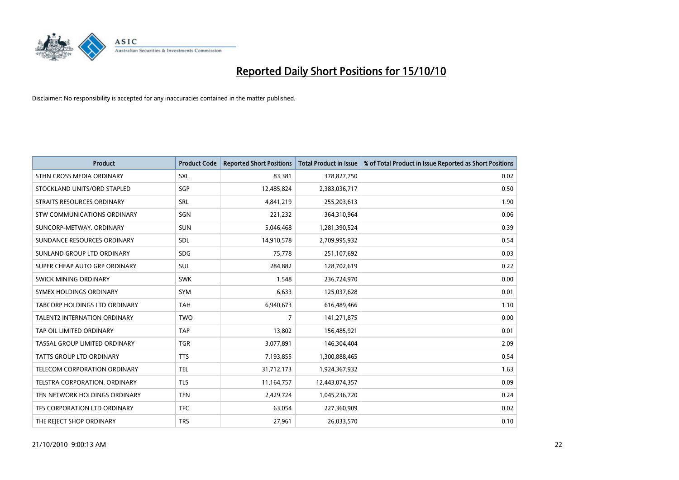

| <b>Product</b>                      | <b>Product Code</b> | <b>Reported Short Positions</b> | <b>Total Product in Issue</b> | % of Total Product in Issue Reported as Short Positions |
|-------------------------------------|---------------------|---------------------------------|-------------------------------|---------------------------------------------------------|
| STHN CROSS MEDIA ORDINARY           | <b>SXL</b>          | 83,381                          | 378,827,750                   | 0.02                                                    |
| STOCKLAND UNITS/ORD STAPLED         | <b>SGP</b>          | 12,485,824                      | 2,383,036,717                 | 0.50                                                    |
| STRAITS RESOURCES ORDINARY          | <b>SRL</b>          | 4,841,219                       | 255,203,613                   | 1.90                                                    |
| STW COMMUNICATIONS ORDINARY         | SGN                 | 221,232                         | 364,310,964                   | 0.06                                                    |
| SUNCORP-METWAY, ORDINARY            | <b>SUN</b>          | 5,046,468                       | 1,281,390,524                 | 0.39                                                    |
| SUNDANCE RESOURCES ORDINARY         | SDL                 | 14,910,578                      | 2,709,995,932                 | 0.54                                                    |
| SUNLAND GROUP LTD ORDINARY          | <b>SDG</b>          | 75,778                          | 251,107,692                   | 0.03                                                    |
| SUPER CHEAP AUTO GRP ORDINARY       | <b>SUL</b>          | 284,882                         | 128,702,619                   | 0.22                                                    |
| SWICK MINING ORDINARY               | <b>SWK</b>          | 1.548                           | 236,724,970                   | 0.00                                                    |
| SYMEX HOLDINGS ORDINARY             | <b>SYM</b>          | 6,633                           | 125,037,628                   | 0.01                                                    |
| TABCORP HOLDINGS LTD ORDINARY       | <b>TAH</b>          | 6,940,673                       | 616,489,466                   | 1.10                                                    |
| <b>TALENT2 INTERNATION ORDINARY</b> | <b>TWO</b>          | 7                               | 141,271,875                   | 0.00                                                    |
| TAP OIL LIMITED ORDINARY            | <b>TAP</b>          | 13,802                          | 156,485,921                   | 0.01                                                    |
| TASSAL GROUP LIMITED ORDINARY       | <b>TGR</b>          | 3,077,891                       | 146,304,404                   | 2.09                                                    |
| <b>TATTS GROUP LTD ORDINARY</b>     | <b>TTS</b>          | 7,193,855                       | 1,300,888,465                 | 0.54                                                    |
| TELECOM CORPORATION ORDINARY        | <b>TEL</b>          | 31,712,173                      | 1,924,367,932                 | 1.63                                                    |
| TELSTRA CORPORATION. ORDINARY       | <b>TLS</b>          | 11,164,757                      | 12,443,074,357                | 0.09                                                    |
| TEN NETWORK HOLDINGS ORDINARY       | <b>TEN</b>          | 2,429,724                       | 1,045,236,720                 | 0.24                                                    |
| TFS CORPORATION LTD ORDINARY        | <b>TFC</b>          | 63,054                          | 227,360,909                   | 0.02                                                    |
| THE REJECT SHOP ORDINARY            | <b>TRS</b>          | 27,961                          | 26,033,570                    | 0.10                                                    |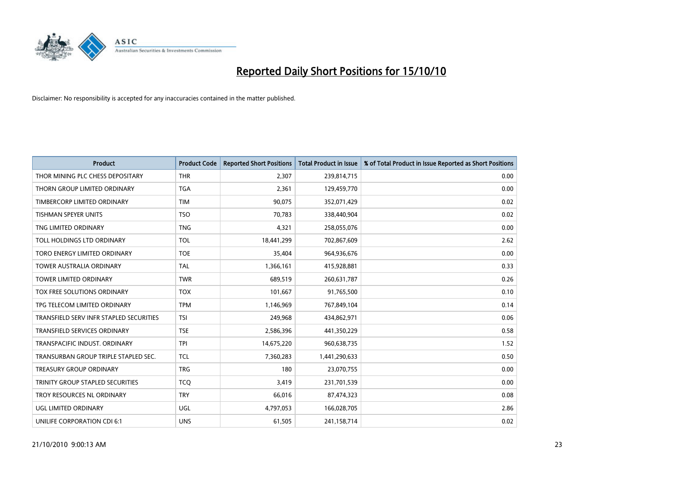

| <b>Product</b>                          | <b>Product Code</b> | <b>Reported Short Positions</b> | <b>Total Product in Issue</b> | % of Total Product in Issue Reported as Short Positions |
|-----------------------------------------|---------------------|---------------------------------|-------------------------------|---------------------------------------------------------|
| THOR MINING PLC CHESS DEPOSITARY        | <b>THR</b>          | 2,307                           | 239,814,715                   | 0.00                                                    |
| THORN GROUP LIMITED ORDINARY            | <b>TGA</b>          | 2,361                           | 129,459,770                   | 0.00                                                    |
| TIMBERCORP LIMITED ORDINARY             | <b>TIM</b>          | 90.075                          | 352,071,429                   | 0.02                                                    |
| TISHMAN SPEYER UNITS                    | <b>TSO</b>          | 70,783                          | 338,440,904                   | 0.02                                                    |
| TNG LIMITED ORDINARY                    | <b>TNG</b>          | 4,321                           | 258,055,076                   | 0.00                                                    |
| TOLL HOLDINGS LTD ORDINARY              | <b>TOL</b>          | 18,441,299                      | 702,867,609                   | 2.62                                                    |
| TORO ENERGY LIMITED ORDINARY            | <b>TOE</b>          | 35,404                          | 964,936,676                   | 0.00                                                    |
| <b>TOWER AUSTRALIA ORDINARY</b>         | <b>TAL</b>          | 1,366,161                       | 415,928,881                   | 0.33                                                    |
| <b>TOWER LIMITED ORDINARY</b>           | <b>TWR</b>          | 689,519                         | 260,631,787                   | 0.26                                                    |
| TOX FREE SOLUTIONS ORDINARY             | <b>TOX</b>          | 101,667                         | 91,765,500                    | 0.10                                                    |
| TPG TELECOM LIMITED ORDINARY            | <b>TPM</b>          | 1,146,969                       | 767,849,104                   | 0.14                                                    |
| TRANSFIELD SERV INFR STAPLED SECURITIES | <b>TSI</b>          | 249,968                         | 434,862,971                   | 0.06                                                    |
| TRANSFIELD SERVICES ORDINARY            | <b>TSE</b>          | 2,586,396                       | 441,350,229                   | 0.58                                                    |
| TRANSPACIFIC INDUST, ORDINARY           | <b>TPI</b>          | 14,675,220                      | 960,638,735                   | 1.52                                                    |
| TRANSURBAN GROUP TRIPLE STAPLED SEC.    | <b>TCL</b>          | 7,360,283                       | 1,441,290,633                 | 0.50                                                    |
| TREASURY GROUP ORDINARY                 | <b>TRG</b>          | 180                             | 23,070,755                    | 0.00                                                    |
| TRINITY GROUP STAPLED SECURITIES        | <b>TCQ</b>          | 3,419                           | 231,701,539                   | 0.00                                                    |
| TROY RESOURCES NL ORDINARY              | <b>TRY</b>          | 66,016                          | 87,474,323                    | 0.08                                                    |
| <b>UGL LIMITED ORDINARY</b>             | UGL                 | 4,797,053                       | 166,028,705                   | 2.86                                                    |
| UNILIFE CORPORATION CDI 6:1             | <b>UNS</b>          | 61,505                          | 241,158,714                   | 0.02                                                    |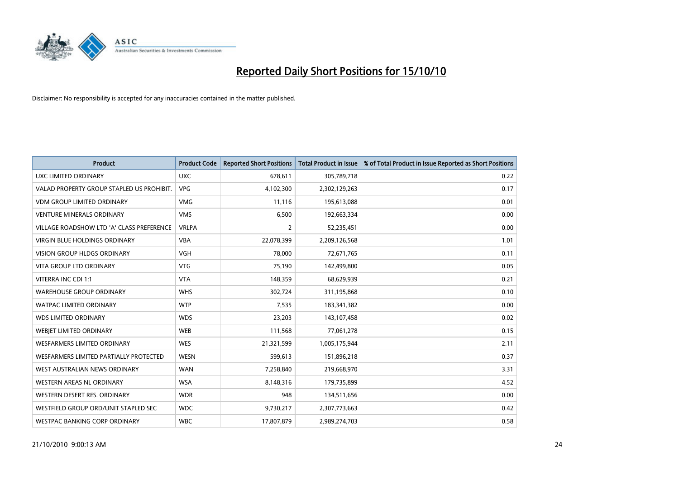

| <b>Product</b>                            | <b>Product Code</b> | <b>Reported Short Positions</b> | <b>Total Product in Issue</b> | % of Total Product in Issue Reported as Short Positions |
|-------------------------------------------|---------------------|---------------------------------|-------------------------------|---------------------------------------------------------|
| <b>UXC LIMITED ORDINARY</b>               | <b>UXC</b>          | 678,611                         | 305,789,718                   | 0.22                                                    |
| VALAD PROPERTY GROUP STAPLED US PROHIBIT. | <b>VPG</b>          | 4,102,300                       | 2,302,129,263                 | 0.17                                                    |
| <b>VDM GROUP LIMITED ORDINARY</b>         | <b>VMG</b>          | 11,116                          | 195,613,088                   | 0.01                                                    |
| <b>VENTURE MINERALS ORDINARY</b>          | <b>VMS</b>          | 6,500                           | 192,663,334                   | 0.00                                                    |
| VILLAGE ROADSHOW LTD 'A' CLASS PREFERENCE | <b>VRLPA</b>        | 2                               | 52,235,451                    | 0.00                                                    |
| <b>VIRGIN BLUE HOLDINGS ORDINARY</b>      | <b>VBA</b>          | 22,078,399                      | 2,209,126,568                 | 1.01                                                    |
| <b>VISION GROUP HLDGS ORDINARY</b>        | <b>VGH</b>          | 78.000                          | 72,671,765                    | 0.11                                                    |
| <b>VITA GROUP LTD ORDINARY</b>            | <b>VTG</b>          | 75,190                          | 142,499,800                   | 0.05                                                    |
| VITERRA INC CDI 1:1                       | <b>VTA</b>          | 148,359                         | 68,629,939                    | 0.21                                                    |
| <b>WAREHOUSE GROUP ORDINARY</b>           | <b>WHS</b>          | 302,724                         | 311,195,868                   | 0.10                                                    |
| <b>WATPAC LIMITED ORDINARY</b>            | <b>WTP</b>          | 7,535                           | 183,341,382                   | 0.00                                                    |
| <b>WDS LIMITED ORDINARY</b>               | <b>WDS</b>          | 23,203                          | 143,107,458                   | 0.02                                                    |
| WEBIET LIMITED ORDINARY                   | <b>WEB</b>          | 111,568                         | 77,061,278                    | 0.15                                                    |
| <b>WESFARMERS LIMITED ORDINARY</b>        | <b>WES</b>          | 21,321,599                      | 1,005,175,944                 | 2.11                                                    |
| WESFARMERS LIMITED PARTIALLY PROTECTED    | <b>WESN</b>         | 599,613                         | 151,896,218                   | 0.37                                                    |
| WEST AUSTRALIAN NEWS ORDINARY             | <b>WAN</b>          | 7,258,840                       | 219,668,970                   | 3.31                                                    |
| WESTERN AREAS NL ORDINARY                 | <b>WSA</b>          | 8,148,316                       | 179,735,899                   | 4.52                                                    |
| WESTERN DESERT RES. ORDINARY              | <b>WDR</b>          | 948                             | 134,511,656                   | 0.00                                                    |
| WESTFIELD GROUP ORD/UNIT STAPLED SEC      | <b>WDC</b>          | 9,730,217                       | 2,307,773,663                 | 0.42                                                    |
| WESTPAC BANKING CORP ORDINARY             | <b>WBC</b>          | 17.807.879                      | 2,989,274,703                 | 0.58                                                    |